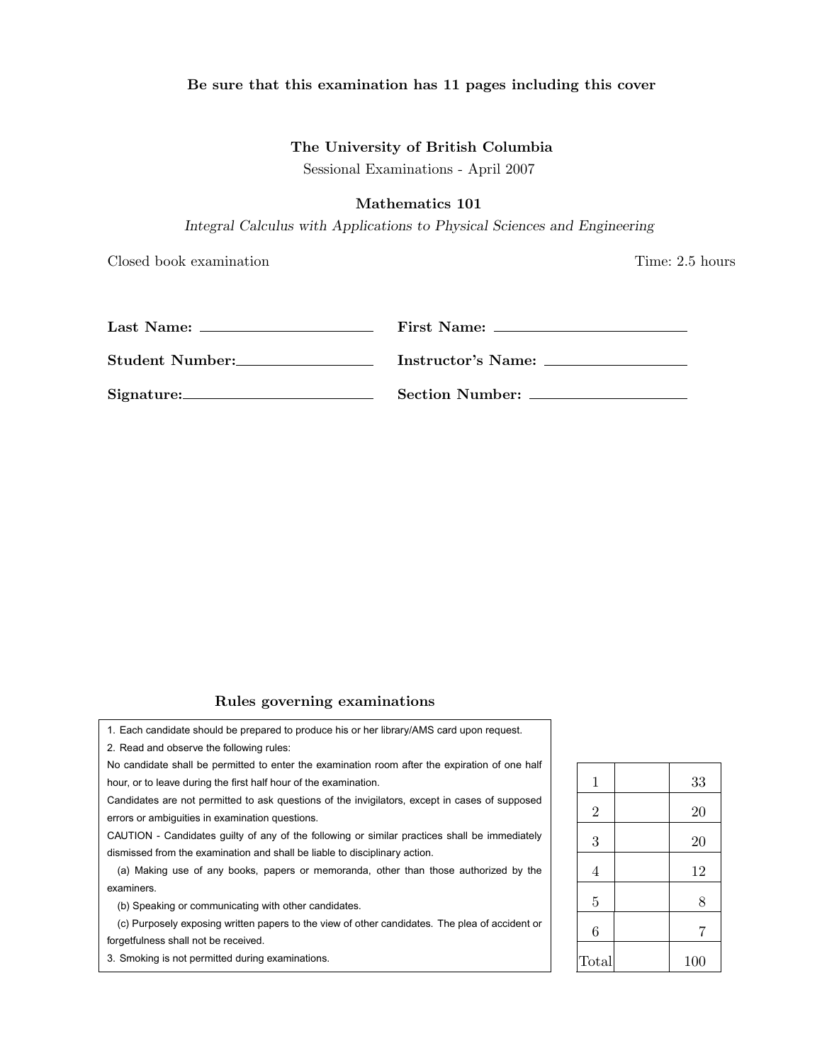## Be sure that this examination has 11 pages including this cover

# The University of British Columbia

Sessional Examinations - April 2007

## Mathematics 101

*Integral Calculus with Applications to Physical Sciences and Engineering*

Closed book examination Time: 2.5 hours

| Student Number: | Instructor's Name: |
|-----------------|--------------------|
| Signature:      |                    |

# Rules governing examinations

1. Each candidate should be prepared to produce his or her library/AMS card upon request. 2. Read and observe the following rules:

No candidate shall be permitted to enter the examination room after the expiration of one half hour, or to leave during the first half hour of the examination.

Candidates are not permitted to ask questions of the invigilators, except in cases of supposed errors or ambiguities in examination questions.

CAUTION - Candidates guilty of any of the following or similar practices shall be immediately dismissed from the examination and shall be liable to disciplinary action.

(a) Making use of any books, papers or memoranda, other than those authorized by the examiners.

(b) Speaking or communicating with other candidates.

(c) Purposely exposing written papers to the view of other candidates. The plea of accident or forgetfulness shall not be received.

3. Smoking is not permitted during examinations.

| 1              | 33  |
|----------------|-----|
| $\overline{2}$ | 20  |
| 3              | 20  |
| $\overline{4}$ | 12  |
| $\overline{5}$ | 8   |
| 6              | 7   |
| Total          | 100 |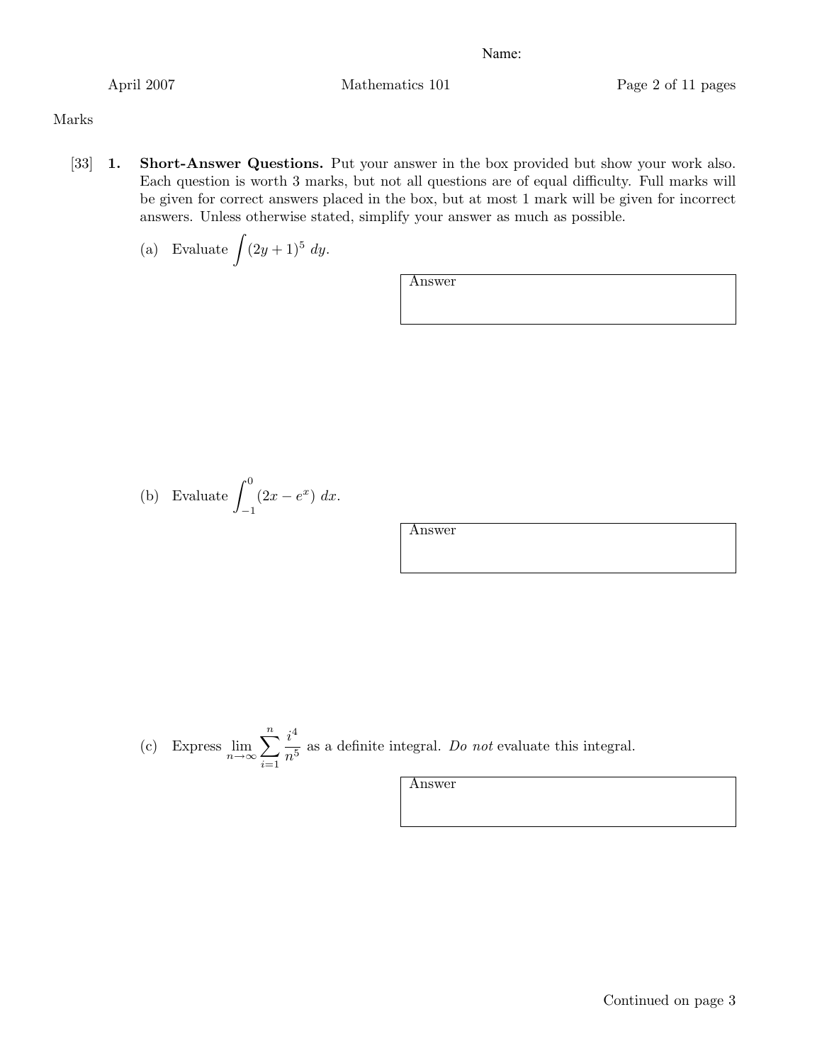April 2007 Mathematics 101 Page 2 of 11 pages

# Marks

[33] 1. Short-Answer Questions. Put your answer in the box provided but show your work also. Each question is worth 3 marks, but not all questions are of equal difficulty. Full marks will be given for correct answers placed in the box, but at most 1 mark will be given for incorrect answers. Unless otherwise stated, simplify your answer as much as possible.

(a) Evaluate 
$$
\int (2y+1)^5 dy
$$
.

Answer

(b) Evaluate 
$$
\int_{-1}^{0} (2x - e^x) dx.
$$

Answer

(c) Express 
$$
\lim_{n \to \infty} \sum_{i=1}^{n} \frac{i^4}{n^5}
$$
 as a definite integral. Do not evaluate this integral.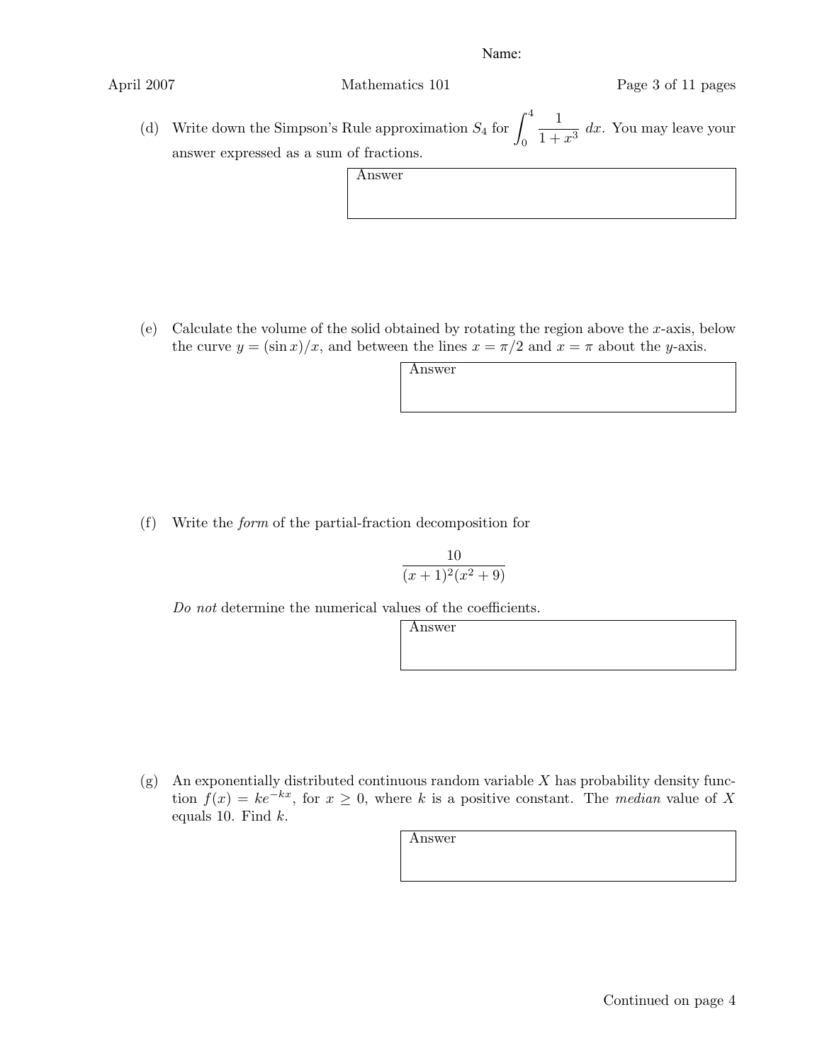(d) Write down the Simpson's Rule approximation  $S_4$  for  $\int_4^4$  $\boldsymbol{0}$  $\frac{1}{1+x^3}$  dx. You may leave your answer expressed as a sum of fractions.

Answer

(e) Calculate the volume of the solid obtained by rotating the region above the *x*-axis, below the curve  $y = (\sin x)/x$ , and between the lines  $x = \pi/2$  and  $x = \pi$  about the *y*-axis.

Answer

(f) Write the *form* of the partial-fraction decomposition for

$$
\frac{10}{(x+1)^2(x^2+9)}
$$

*Do not* determine the numerical values of the coefficients.

Answer

(g) An exponentially distributed continuous random variable *X* has probability density function  $f(x) = ke^{-kx}$ , for  $x \ge 0$ , where *k* is a positive constant. The *median* value of X equals 10. Find *k*.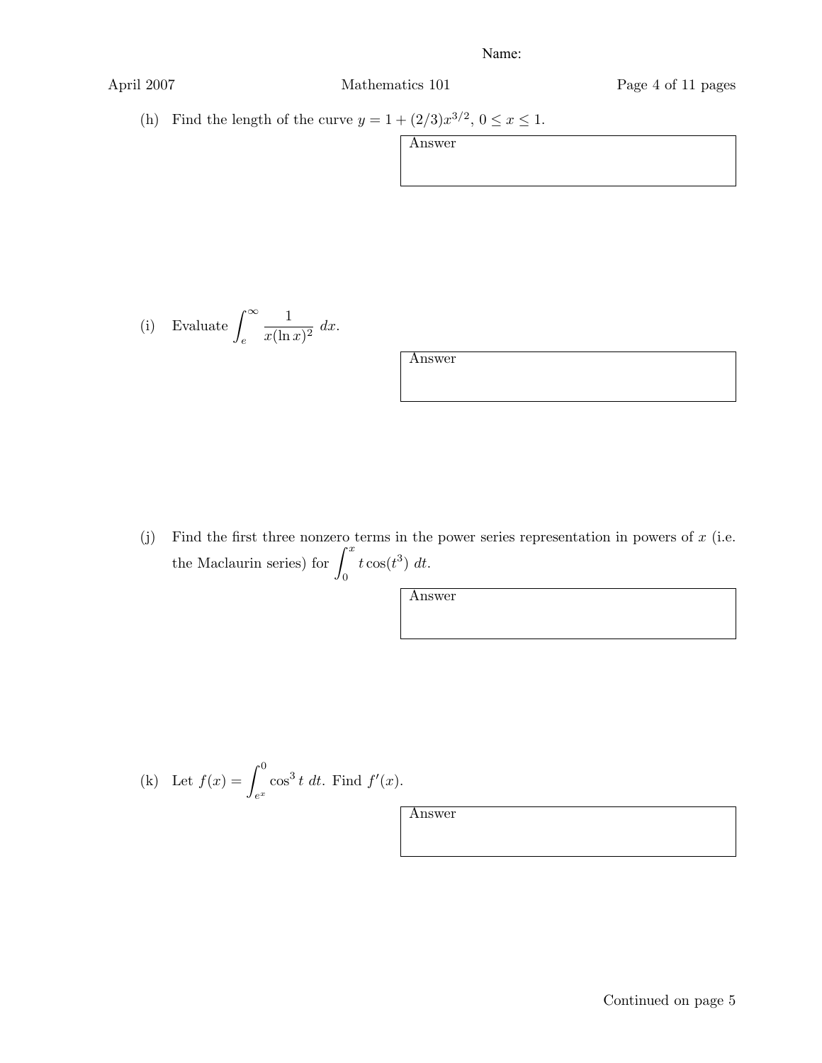| April 2007                                                                     | Mathematics 101 | Page 4 of 11 pages |
|--------------------------------------------------------------------------------|-----------------|--------------------|
| Find the length of the curve $y = 1 + (2/3)x^{3/2}$ , $0 \le x \le 1$ .<br>(h) |                 |                    |
|                                                                                | Answer          |                    |
|                                                                                |                 |                    |
|                                                                                |                 |                    |
|                                                                                |                 |                    |

(i) Evaluate 
$$
\int_{e}^{\infty} \frac{1}{x(\ln x)^2} dx.
$$

| Answer |  |
|--------|--|
|        |  |
|        |  |

(j) Find the first three nonzero terms in the power series representation in powers of  $x$  (i.e. the Maclaurin series) for  $\int_0^x$  $\boldsymbol{0}$  $t\cos(t^3) dt$ .

Answer

(k) Let 
$$
f(x) = \int_{e^x}^{0} \cos^3 t \ dt
$$
. Find  $f'(x)$ .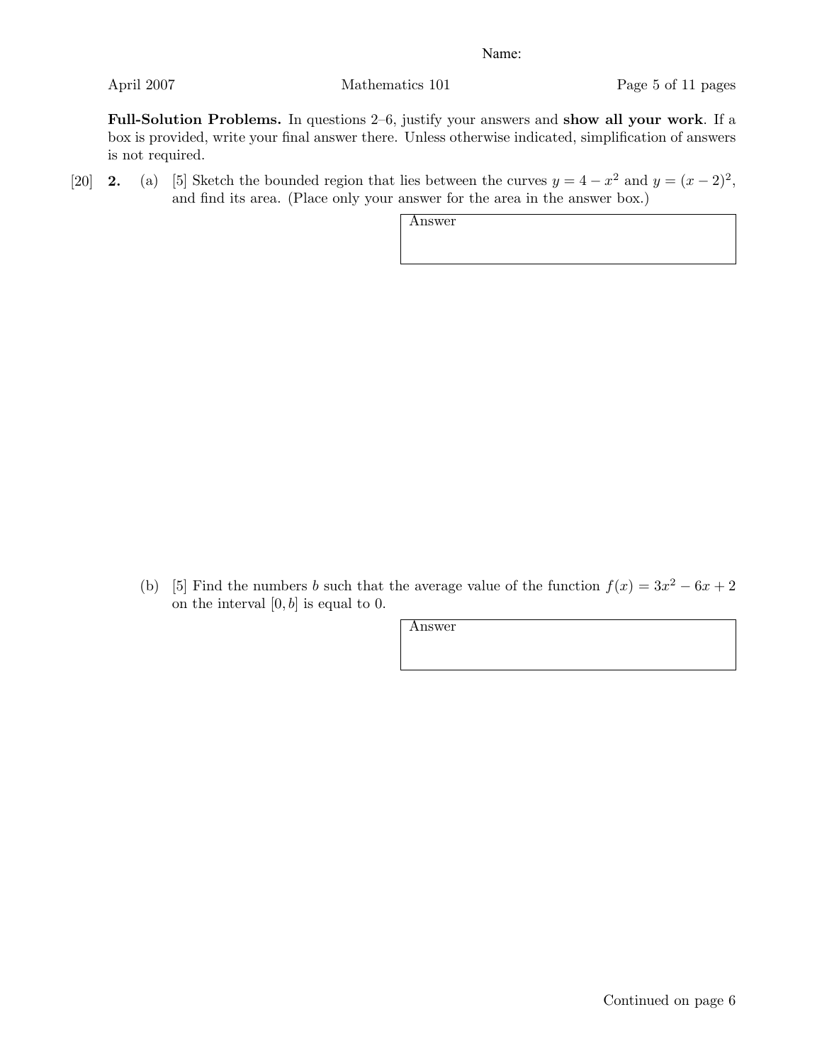Full-Solution Problems. In questions 2–6, justify your answers and show all your work. If a box is provided, write your final answer there. Unless otherwise indicated, simplification of answers is not required.

[20] **2.** (a) [5] Sketch the bounded region that lies between the curves  $y = 4 - x^2$  and  $y = (x - 2)^2$ , and find its area. (Place only your answer for the area in the answer box.)

Answer

(b) [5] Find the numbers *b* such that the average value of the function  $f(x) = 3x^2 - 6x + 2$ on the interval [0*, b*] is equal to 0.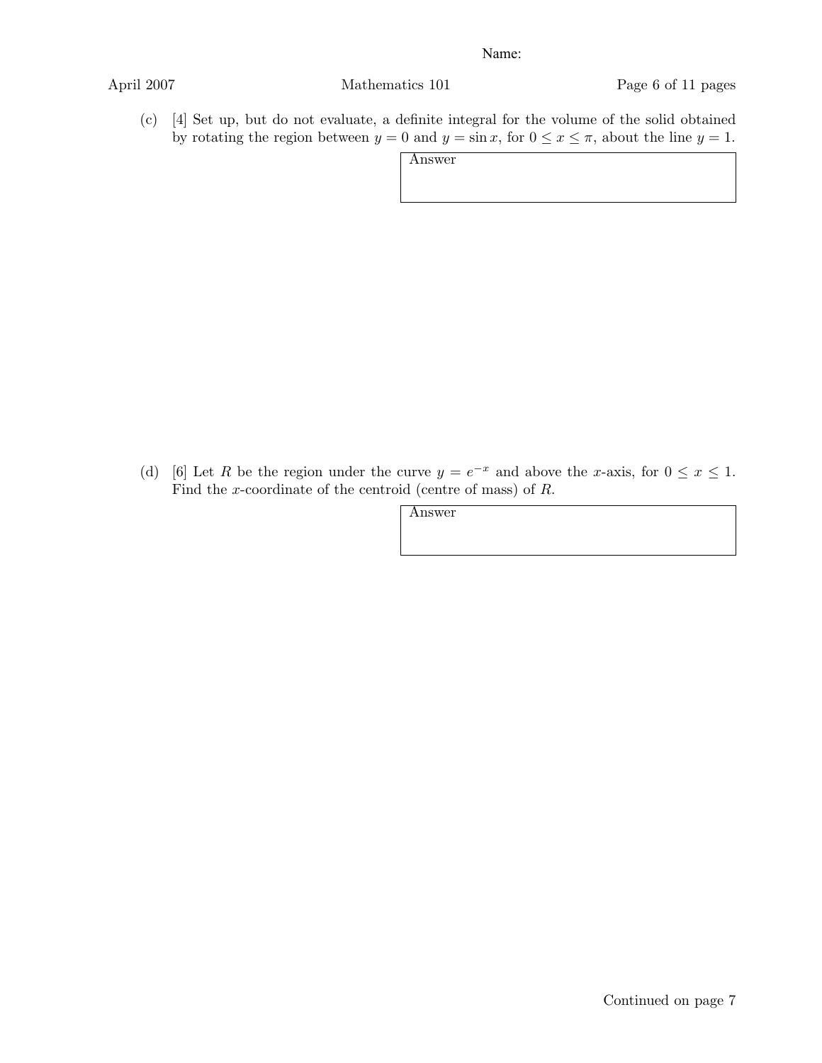(c) [4] Set up, but do not evaluate, a definite integral for the volume of the solid obtained by rotating the region between  $y = 0$  and  $y = \sin x$ , for  $0 \le x \le \pi$ , about the line  $y = 1$ .

Answer

(d) [6] Let *R* be the region under the curve  $y = e^{-x}$  and above the *x*-axis, for  $0 \le x \le 1$ . Find the *x*-coordinate of the centroid (centre of mass) of *R*.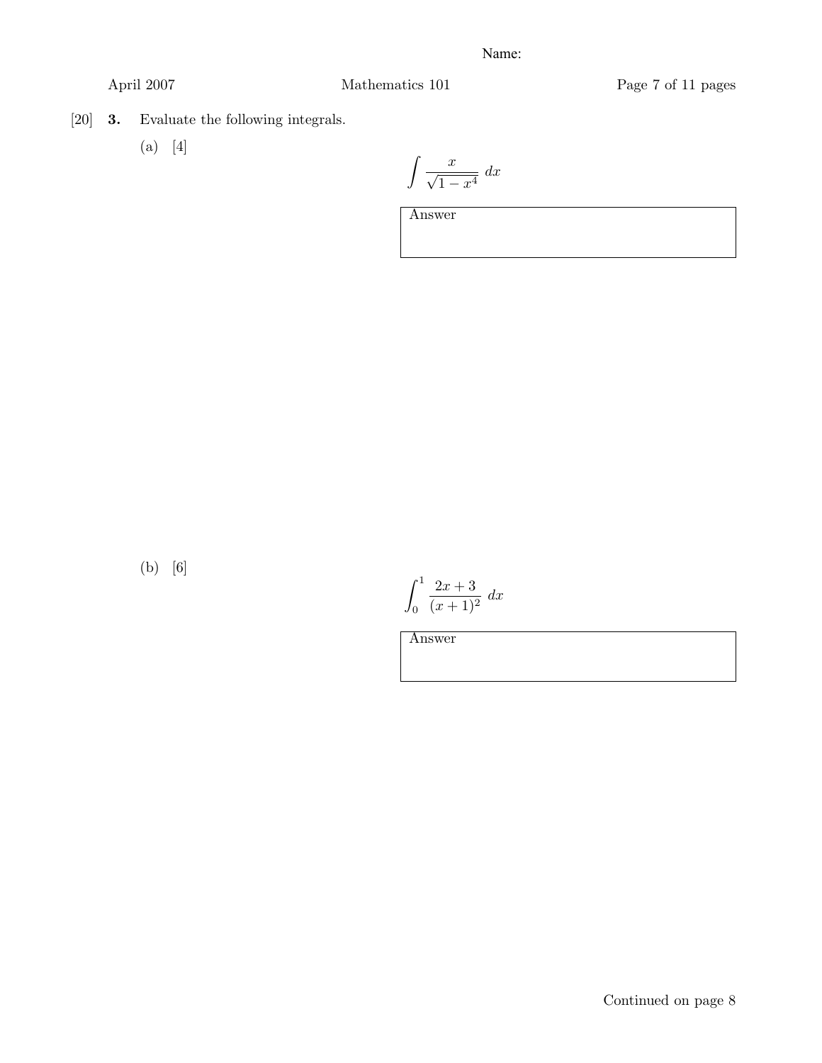- [20] 3. Evaluate the following integrals.
	- (a) [4]

$$
\int \frac{x}{\sqrt{1-x^4}} \, dx
$$

Answer

(b) [6]

$$
\int_0^1 \frac{2x+3}{(x+1)^2} \, dx
$$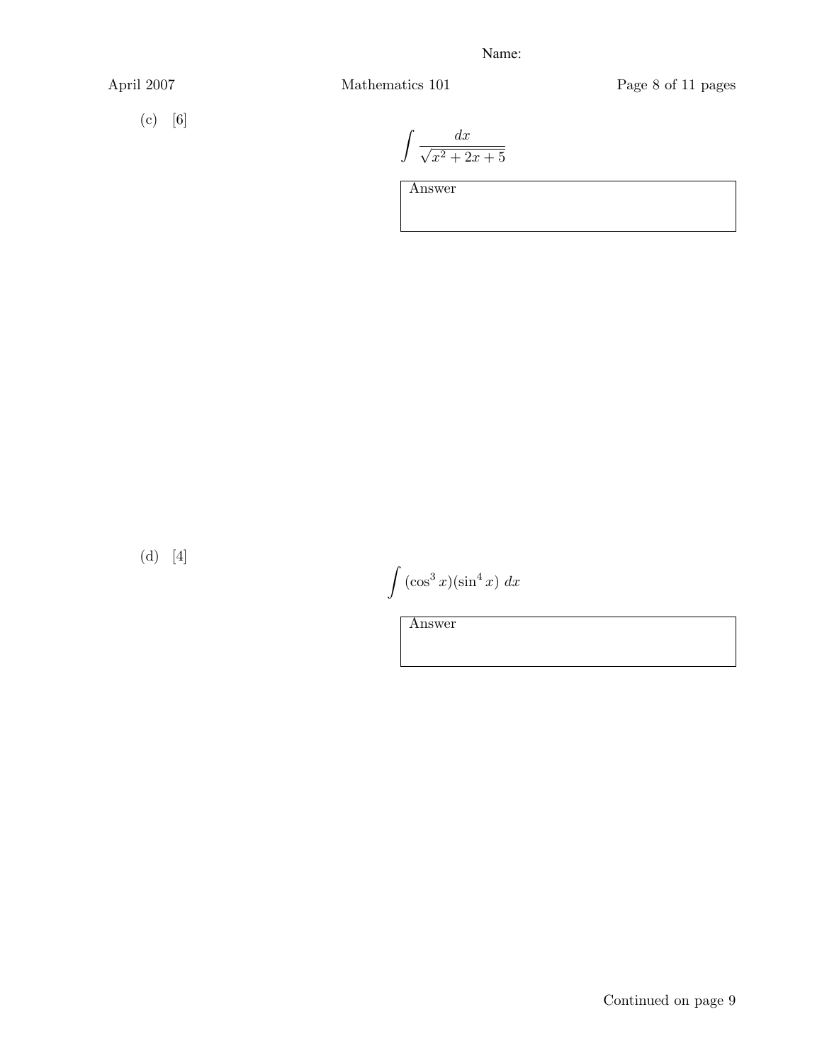(c) [6]

April 2007 Mathematics 101 Page 8 of 11 pages

$$
\int \frac{dx}{\sqrt{x^2+2x+5}}
$$

Answer

(d) [4]

 $\int$  (cos<sup>3</sup> *x*)(sin<sup>4</sup> *x*) *dx* 

Answer

Continued on page 9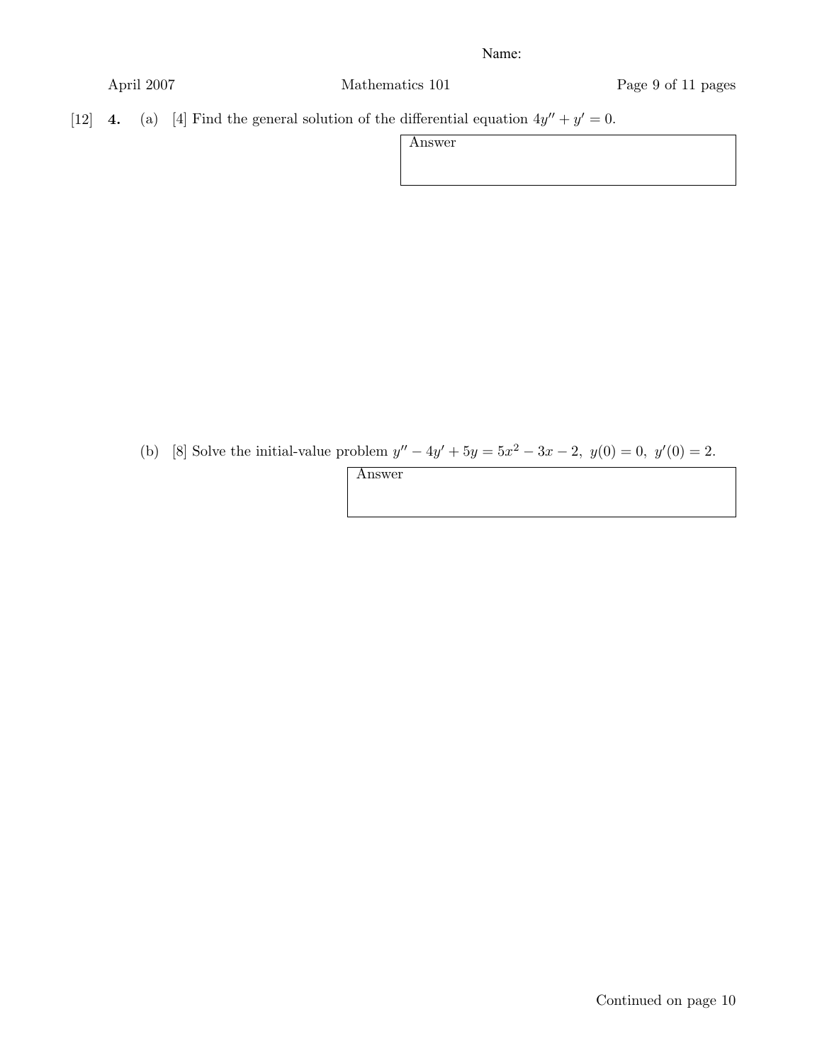| April 2007 |
|------------|
|------------|

Mathematics 101 Page 9 of 11 pages

[12] **4.** (a) [4] Find the general solution of the differential equation  $4y'' + y' = 0$ .

| Answer |  |
|--------|--|
|        |  |
|        |  |
|        |  |

(b) [8] Solve the initial-value problem  $y'' - 4y' + 5y = 5x^2 - 3x - 2$ ,  $y(0) = 0$ ,  $y'(0) = 2$ .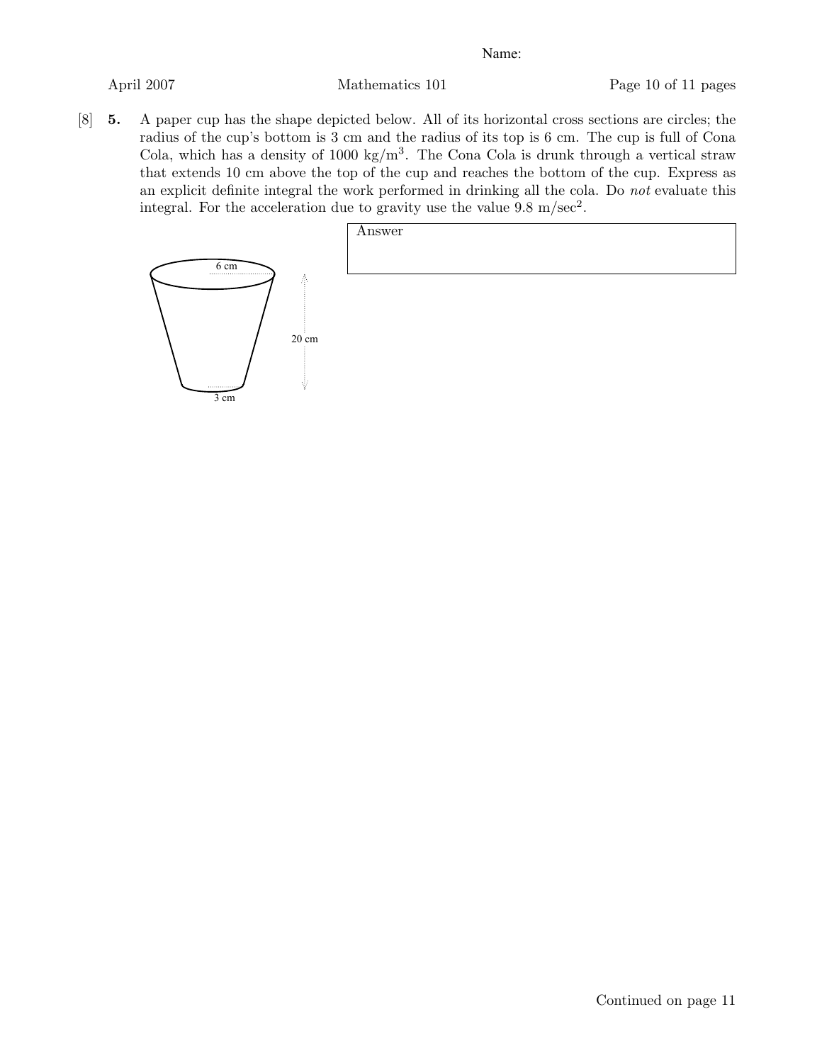[8] 5. A paper cup has the shape depicted below. All of its horizontal cross sections are circles; the radius of the cup's bottom is 3 cm and the radius of its top is 6 cm. The cup is full of Cona Cola, which has a density of 1000 kg/ $m<sup>3</sup>$ . The Cona Cola is drunk through a vertical straw that extends 10 cm above the top of the cup and reaches the bottom of the cup. Express as an explicit definite integral the work performed in drinking all the cola. Do *not* evaluate this integral. For the acceleration due to gravity use the value  $9.8 \text{ m/sec}^2$ .